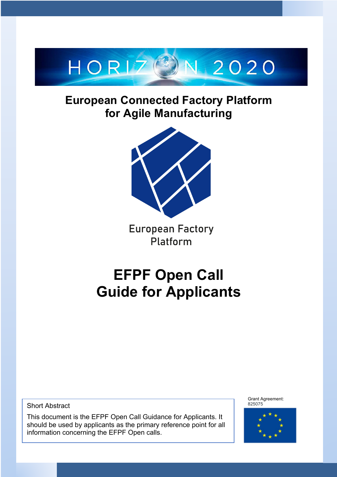

# **European Connected Factory Platform for Agile Manufacturing**



**European Factory** Platform

# **EFPF Open Call Guide for Applicants**

Short Abstract

This document is the EFPF Open Call Guidance for Applicants. It should be used by applicants as the primary reference point for all information concerning the EFPF Open calls.

Grant Agreement: 825075

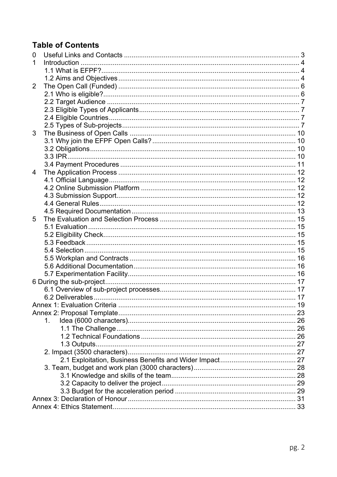### **Table of Contents**

| 0 |    |  |
|---|----|--|
| 1 |    |  |
|   |    |  |
|   |    |  |
| 2 |    |  |
|   |    |  |
|   |    |  |
|   |    |  |
|   |    |  |
|   |    |  |
| 3 |    |  |
|   |    |  |
|   |    |  |
|   |    |  |
|   |    |  |
| 4 |    |  |
|   |    |  |
|   |    |  |
|   |    |  |
|   |    |  |
|   |    |  |
| 5 |    |  |
|   |    |  |
|   |    |  |
|   |    |  |
|   |    |  |
|   |    |  |
|   |    |  |
|   |    |  |
|   |    |  |
|   |    |  |
|   |    |  |
|   |    |  |
|   |    |  |
|   | 1. |  |
|   |    |  |
|   |    |  |
|   |    |  |
|   |    |  |
|   |    |  |
|   |    |  |
|   |    |  |
|   |    |  |
|   |    |  |
|   |    |  |
|   |    |  |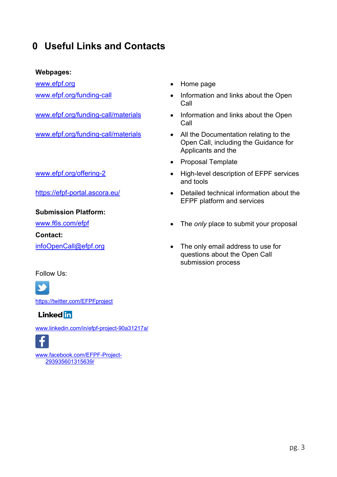### **0 Useful Links and Contacts**

#### **Webpages:**

www.efpf.org **• Home page** 

#### **Submission Platform:**

**Contact:**

#### Follow Us:

SÓ

https://twitter.com/EFPFproject

#### **Linked** in

www.linkedin.com/in/efpf-project-90a31217a/



www.facebook.com/EFPF-Project-293935601315639/

- 
- www.efpf.org/funding-call **•** Information and links about the Open Call
- www.efpf.org/funding-call/materials Information and links about the Open Call
- www.efpf.org/funding-call/materials All the Documentation relating to the Open Call, including the Guidance for Applicants and the
	- Proposal Template
- www.efpf.org/offering-2 High-level description of EFPF services and tools
- https://efpf-portal.ascora.eu/ Detailed technical information about the EFPF platform and services
- www.f6s.com/efpf **•** The *only* place to submit your proposal
- infoOpenCall@efpf.org The only email address to use for questions about the Open Call submission process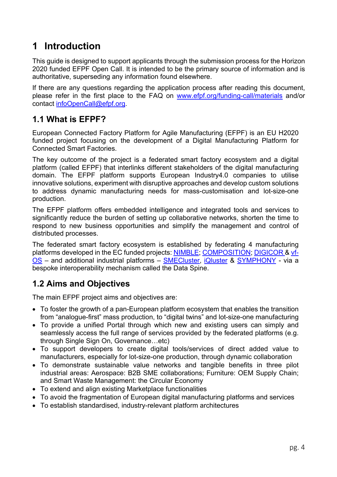# **1 Introduction**

This guide is designed to support applicants through the submission process for the Horizon 2020 funded EFPF Open Call. It is intended to be the primary source of information and is authoritative, superseding any information found elsewhere.

If there are any questions regarding the application process after reading this document, please refer in the first place to the FAQ on www.efpf.org/funding-call/materials and/or contact infoOpenCall@efpf.org.

### **1.1 What is EFPF?**

European Connected Factory Platform for Agile Manufacturing (EFPF) is an EU H2020 funded project focusing on the development of a Digital Manufacturing Platform for Connected Smart Factories.

The key outcome of the project is a federated smart factory ecosystem and a digital platform (called EFPF) that interlinks different stakeholders of the digital manufacturing domain. The EFPF platform supports European Industry4.0 companies to utilise innovative solutions, experiment with disruptive approaches and develop custom solutions to address dynamic manufacturing needs for mass-customisation and lot-size-one production.

The EFPF platform offers embedded intelligence and integrated tools and services to significantly reduce the burden of setting up collaborative networks, shorten the time to respond to new business opportunities and simplify the management and control of distributed processes.

The federated smart factory ecosystem is established by federating 4 manufacturing platforms developed in the EC funded projects: NIMBLE; COMPOSITION; DIGICOR & vf-OS - and additional industrial platforms - **SMECluster**, iQluster & SYMPHONY - via a bespoke interoperability mechanism called the Data Spine.

### **1.2 Aims and Objectives**

The main EFPF project aims and objectives are:

- To foster the growth of a pan-European platform ecosystem that enables the transition from "analogue-first" mass production, to "digital twins" and lot-size-one manufacturing
- To provide a unified Portal through which new and existing users can simply and seamlessly access the full range of services provided by the federated platforms (e.g. through Single Sign On, Governance…etc)
- To support developers to create digital tools/services of direct added value to manufacturers, especially for lot-size-one production, through dynamic collaboration
- To demonstrate sustainable value networks and tangible benefits in three pilot industrial areas: Aerospace: B2B SME collaborations; Furniture: OEM Supply Chain; and Smart Waste Management: the Circular Economy
- To extend and align existing Marketplace functionalities
- To avoid the fragmentation of European digital manufacturing platforms and services
- To establish standardised, industry-relevant platform architectures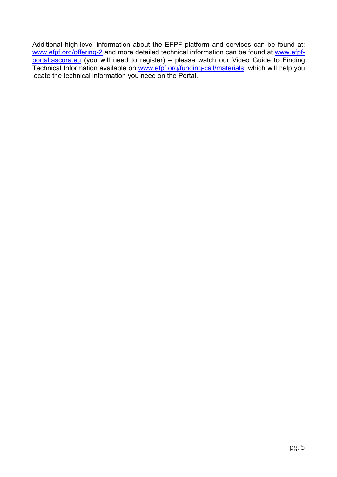Additional high-level information about the EFPF platform and services can be found at: www.efpf.org/offering-2 and more detailed technical information can be found at www.efpfportal.ascora.eu (you will need to register) – please watch our Video Guide to Finding Technical Information available on www.efpf.org/funding-call/materials, which will help you locate the technical information you need on the Portal.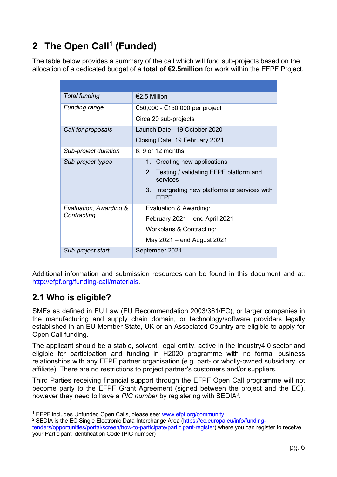# **2 The Open Call1 (Funded)**

The table below provides a summary of the call which will fund sub-projects based on the allocation of a dedicated budget of a **total of €2.5million** for work within the EFPF Project.

| <b>Total funding</b>   | €2.5 Million                                              |  |  |  |
|------------------------|-----------------------------------------------------------|--|--|--|
| Funding range          | €50,000 - €150,000 per project                            |  |  |  |
|                        | Circa 20 sub-projects                                     |  |  |  |
| Call for proposals     | Launch Date: 19 October 2020                              |  |  |  |
|                        | Closing Date: 19 February 2021                            |  |  |  |
| Sub-project duration   | 6, 9 or 12 months                                         |  |  |  |
| Sub-project types      | 1. Creating new applications                              |  |  |  |
|                        | 2. Testing / validating EFPF platform and<br>services     |  |  |  |
|                        | 3.<br>Intergrating new platforms or services with<br>EFPF |  |  |  |
| Evaluation, Awarding & | Evaluation & Awarding:                                    |  |  |  |
| Contracting            | February 2021 – end April 2021                            |  |  |  |
|                        | Workplans & Contracting:                                  |  |  |  |
|                        | May 2021 – end August 2021                                |  |  |  |
| Sub-project start      | September 2021                                            |  |  |  |

Additional information and submission resources can be found in this document and at: http://efpf.org/funding-call/materials.

### **2.1 Who is eligible?**

SMEs as defined in EU Law (EU Recommendation 2003/361/EC), or larger companies in the manufacturing and supply chain domain, or technology/software providers legally established in an EU Member State, UK or an Associated Country are eligible to apply for Open Call funding.

The applicant should be a stable, solvent, legal entity, active in the Industry4.0 sector and eligible for participation and funding in H2020 programme with no formal business relationships with any EFPF partner organisation (e.g. part- or wholly-owned subsidiary, or affiliate). There are no restrictions to project partner's customers and/or suppliers.

Third Parties receiving financial support through the EFPF Open Call programme will not become party to the EFPF Grant Agreement (signed between the project and the EC), however they need to have a *PIC number* by registering with SEDIA2.

<sup>&</sup>lt;sup>1</sup> EFPF includes Unfunded Open Calls, please see: www.efpf.org/community.<br><sup>2</sup> SEDIA is the EC Single Electronic Data Interchange Area (https://ec.europa.eu/info/funding-

tenders/opportunities/portal/screen/how-to-participate/participant-register) where you can register to receive your Participant Identification Code (PIC number)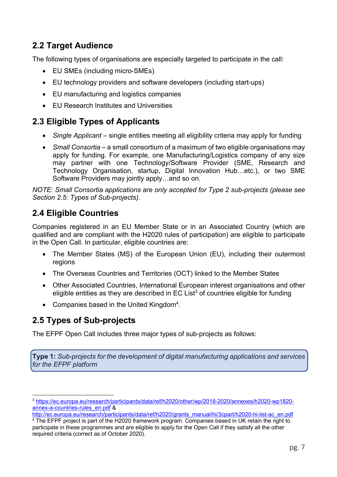### **2.2 Target Audience**

The following types of organisations are especially targeted to participate in the call:

- EU SMEs (including micro-SMEs)
- EU technology providers and software developers (including start-ups)
- EU manufacturing and logistics companies
- EU Research Institutes and Universities

### **2.3 Eligible Types of Applicants**

- *Single Applicant* single entities meeting all eligibility criteria may apply for funding
- *Small Consortia* a small consortium of a maximum of two eligible organisations may apply for funding. For example, one Manufacturing/Logistics company of any size may partner with one Technology/Software Provider (SME, Research and Technology Organisation, startup, Digital Innovation Hub…etc.), or two SME Software Providers may jointly apply…and so on.

*NOTE: Small Consortia applications are only accepted for Type 2 sub-projects (please see Section 2.5: Types of Sub-projects).*

### **2.4 Eligible Countries**

Companies registered in an EU Member State or in an Associated Country (which are qualified and are compliant with the H2020 rules of participation) are eligible to participate in the Open Call. In particular, eligible countries are:

- The Member States (MS) of the European Union (EU), including their outermost regions
- The Overseas Countries and Territories (OCT) linked to the Member States
- Other Associated Countries, International European interest organisations and other eligible entities as they are described in  $EC$  List<sup>3</sup> of countries eligible for funding
- Companies based in the United Kingdom<sup>4</sup>.

### **2.5 Types of Sub-projects**

The EFPF Open Call includes three major types of sub-projects as follows:

**Type 1:** *Sub-projects for the development of digital manufacturing applications and services for the EFPF platform*

 <sup>3</sup> https://ec.europa.eu/research/participants/data/ref/h2020/other/wp/2018-2020/annexes/h2020-wp1820 annex-a-countries-rules\_en.pdf &

http://ec.europa.eu/research/participants/data/ref/h2020/grants\_manual/hi/3cpart/h2020-hi-list-ac\_en.pdf

 $4$  The EFPF project is part of the H2020 framework program. Companies based in UK retain the right to participate in these programmes and are eligible to apply for the Open Call if they satisfy all the other required criteria (correct as of October 2020).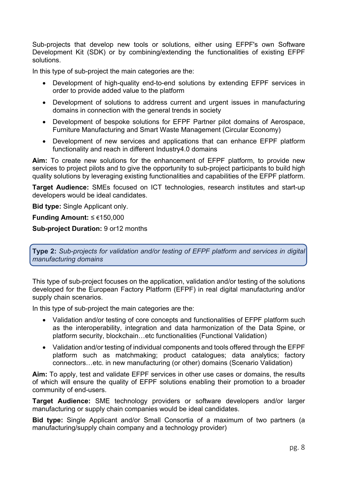Sub-projects that develop new tools or solutions, either using EFPF's own Software Development Kit (SDK) or by combining/extending the functionalities of existing EFPF solutions.

In this type of sub-project the main categories are the:

- Development of high-quality end-to-end solutions by extending EFPF services in order to provide added value to the platform
- Development of solutions to address current and urgent issues in manufacturing domains in connection with the general trends in society
- Development of bespoke solutions for EFPF Partner pilot domains of Aerospace, Furniture Manufacturing and Smart Waste Management (Circular Economy)
- Development of new services and applications that can enhance EFPF platform functionality and reach in different Industry4.0 domains

**Aim:** To create new solutions for the enhancement of EFPF platform, to provide new services to project pilots and to give the opportunity to sub-project participants to build high quality solutions by leveraging existing functionalities and capabilities of the EFPF platform.

**Target Audience:** SMEs focused on ICT technologies, research institutes and start-up developers would be ideal candidates.

**Bid type:** Single Applicant only.

**Funding Amount:** ≤ €150,000

**Sub-project Duration:** 9 or12 months

**Type 2:** *Sub-projects for validation and/or testing of EFPF platform and services in digital manufacturing domains*

This type of sub-project focuses on the application, validation and/or testing of the solutions developed for the European Factory Platform (EFPF) in real digital manufacturing and/or supply chain scenarios.

In this type of sub-project the main categories are the:

- Validation and/or testing of core concepts and functionalities of EFPF platform such as the interoperability, integration and data harmonization of the Data Spine, or platform security, blockchain…etc functionalities (Functional Validation)
- Validation and/or testing of individual components and tools offered through the EFPF platform such as matchmaking; product catalogues; data analytics; factory connectors…etc. in new manufacturing (or other) domains (Scenario Validation)

**Aim:** To apply, test and validate EFPF services in other use cases or domains, the results of which will ensure the quality of EFPF solutions enabling their promotion to a broader community of end-users.

**Target Audience:** SME technology providers or software developers and/or larger manufacturing or supply chain companies would be ideal candidates.

**Bid type:** Single Applicant and/or Small Consortia of a maximum of two partners (a manufacturing/supply chain company and a technology provider)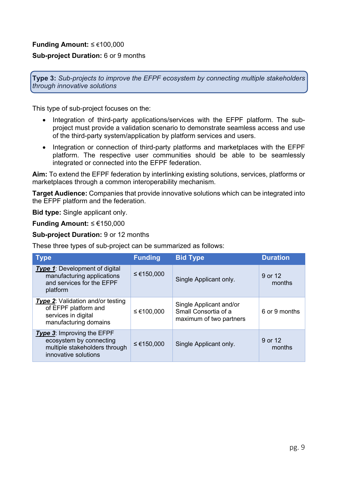#### **Funding Amount:** ≤ €100,000

#### **Sub-project Duration:** 6 or 9 months

**Type 3:** *Sub-projects to improve the EFPF ecosystem by connecting multiple stakeholders through innovative solutions*

This type of sub-project focuses on the:

- Integration of third-party applications/services with the EFPF platform. The subproject must provide a validation scenario to demonstrate seamless access and use of the third-party system/application by platform services and users.
- Integration or connection of third-party platforms and marketplaces with the EFPF platform. The respective user communities should be able to be seamlessly integrated or connected into the EFPF federation.

**Aim:** To extend the EFPF federation by interlinking existing solutions, services, platforms or marketplaces through a common interoperability mechanism.

**Target Audience:** Companies that provide innovative solutions which can be integrated into the EFPF platform and the federation.

**Bid type:** Single applicant only.

#### **Funding Amount:** ≤ €150,000

**Sub-project Duration:** 9 or 12 months

These three types of sub-project can be summarized as follows:

| <b>Type</b>                                                                                                           | <b>Funding</b> | <b>Bid Type</b>                                                            | <b>Duration</b>   |
|-----------------------------------------------------------------------------------------------------------------------|----------------|----------------------------------------------------------------------------|-------------------|
| <b>Type 1:</b> Development of digital<br>manufacturing applications<br>and services for the EFPF<br>platform          | ≤ €150,000     | Single Applicant only.                                                     | 9 or 12<br>months |
| <b>Type 2:</b> Validation and/or testing<br>of EFPF platform and<br>services in digital<br>manufacturing domains      | $≤$ €100,000   | Single Applicant and/or<br>Small Consortia of a<br>maximum of two partners | 6 or 9 months     |
| <b>Type 3:</b> Improving the EFPF<br>ecosystem by connecting<br>multiple stakeholders through<br>innovative solutions | ≤ €150,000     | Single Applicant only.                                                     | 9 or 12<br>months |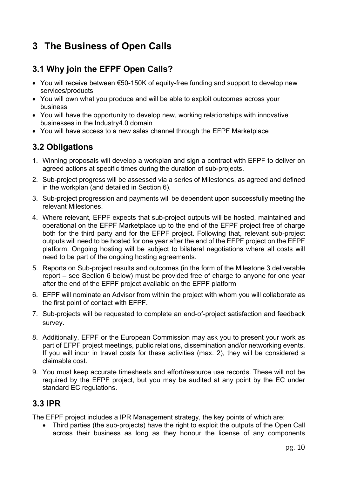### **3 The Business of Open Calls**

### **3.1 Why join the EFPF Open Calls?**

- You will receive between €50-150K of equity-free funding and support to develop new services/products
- You will own what you produce and will be able to exploit outcomes across your business
- You will have the opportunity to develop new, working relationships with innovative businesses in the Industry4.0 domain
- You will have access to a new sales channel through the EFPF Marketplace

### **3.2 Obligations**

- 1. Winning proposals will develop a workplan and sign a contract with EFPF to deliver on agreed actions at specific times during the duration of sub-projects.
- 2. Sub-project progress will be assessed via a series of Milestones, as agreed and defined in the workplan (and detailed in Section 6).
- 3. Sub-project progression and payments will be dependent upon successfully meeting the relevant Milestones.
- 4. Where relevant, EFPF expects that sub-project outputs will be hosted, maintained and operational on the EFPF Marketplace up to the end of the EFPF project free of charge both for the third party and for the EFPF project. Following that, relevant sub-project outputs will need to be hosted for one year after the end of the EFPF project on the EFPF platform. Ongoing hosting will be subject to bilateral negotiations where all costs will need to be part of the ongoing hosting agreements.
- 5. Reports on Sub-project results and outcomes (in the form of the Milestone 3 deliverable report – see Section 6 below) must be provided free of charge to anyone for one year after the end of the EFPF project available on the EFPF platform
- 6. EFPF will nominate an Advisor from within the project with whom you will collaborate as the first point of contact with EFPF.
- 7. Sub-projects will be requested to complete an end-of-project satisfaction and feedback survey.
- 8. Additionally, EFPF or the European Commission may ask you to present your work as part of EFPF project meetings, public relations, dissemination and/or networking events. If you will incur in travel costs for these activities (max. 2), they will be considered a claimable cost.
- 9. You must keep accurate timesheets and effort/resource use records. These will not be required by the EFPF project, but you may be audited at any point by the EC under standard EC regulations.

#### **3.3 IPR**

The EFPF project includes a IPR Management strategy, the key points of which are:

• Third parties (the sub-projects) have the right to exploit the outputs of the Open Call across their business as long as they honour the license of any components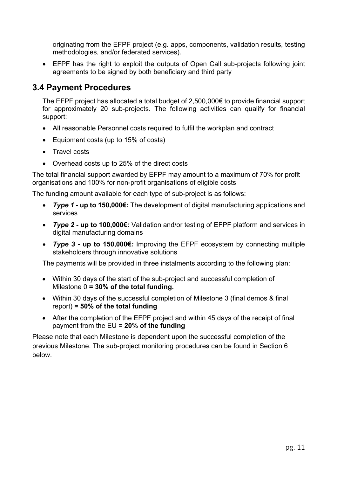originating from the EFPF project (e.g. apps, components, validation results, testing methodologies, and/or federated services).

• EFPF has the right to exploit the outputs of Open Call sub-projects following joint agreements to be signed by both beneficiary and third party

### **3.4 Payment Procedures**

The EFPF project has allocated a total budget of 2,500,000€ to provide financial support for approximately 20 sub-projects. The following activities can qualify for financial support:

- All reasonable Personnel costs required to fulfil the workplan and contract
- Equipment costs (up to 15% of costs)
- Travel costs
- Overhead costs up to 25% of the direct costs

The total financial support awarded by EFPF may amount to a maximum of 70% for profit organisations and 100% for non-profit organisations of eligible costs

The funding amount available for each type of sub-project is as follows:

- *Type 1 -* **up to 150,000€:** The development of digital manufacturing applications and services
- *Type 2 -* **up to 100,000€***:* Validation and/or testing of EFPF platform and services in digital manufacturing domains
- *Type 3 -* **up to 150,000€***:* Improving the EFPF ecosystem by connecting multiple stakeholders through innovative solutions

The payments will be provided in three instalments according to the following plan:

- Within 30 days of the start of the sub-project and successful completion of Milestone 0 **= 30% of the total funding.**
- Within 30 days of the successful completion of Milestone 3 (final demos & final report) **= 50% of the total funding**
- After the completion of the EFPF project and within 45 days of the receipt of final payment from the EU **= 20% of the funding**

Please note that each Milestone is dependent upon the successful completion of the previous Milestone. The sub-project monitoring procedures can be found in Section 6 below.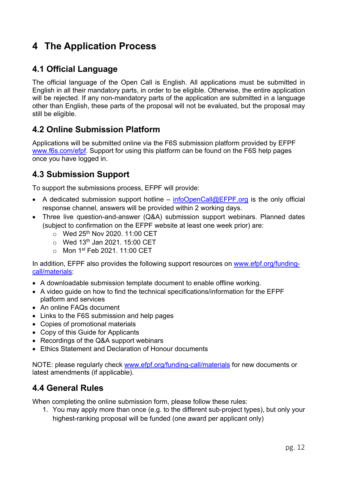# **4 The Application Process**

### **4.1 Official Language**

The official language of the Open Call is English. All applications must be submitted in English in all their mandatory parts, in order to be eligible. Otherwise, the entire application will be rejected. If any non-mandatory parts of the application are submitted in a language other than English, these parts of the proposal will not be evaluated, but the proposal may still be eligible.

### **4.2 Online Submission Platform**

Applications will be submitted online via the F6S submission platform provided by EFPF www.f6s.com/efpf. Support for using this platform can be found on the F6S help pages once you have logged in.

### **4.3 Submission Support**

To support the submissions process, EFPF will provide:

- A dedicated submission support hotline infoOpenCall@EFPF.org is the only official response channel, answers will be provided within 2 working days.
- Three live question-and-answer (Q&A) submission support webinars. Planned dates (subject to confirmation on the EFPF website at least one week prior) are:
	- $\circ$  Wed 25<sup>th</sup> Nov 2020, 11:00 CET
	- $\circ$  Wed 13<sup>th</sup> Jan 2021. 15:00 CET
	- o Mon 1st Feb 2021. 11:00 CET

In addition, EFPF also provides the following support resources on www.efpf.org/fundingcall/materials:

- A downloadable submission template document to enable offline working.
- A video guide on how to find the technical specifications/information for the EFPF platform and services
- An online FAQs document
- Links to the F6S submission and help pages
- Copies of promotional materials
- Copy of this Guide for Applicants
- Recordings of the Q&A support webinars
- Ethics Statement and Declaration of Honour documents

NOTE: please regularly check www.efpf.org/funding-call/materials for new documents or latest amendments (if applicable).

### **4.4 General Rules**

When completing the online submission form, please follow these rules:

1. You may apply more than once (e.g. to the different sub-project types), but only your highest-ranking proposal will be funded (one award per applicant only)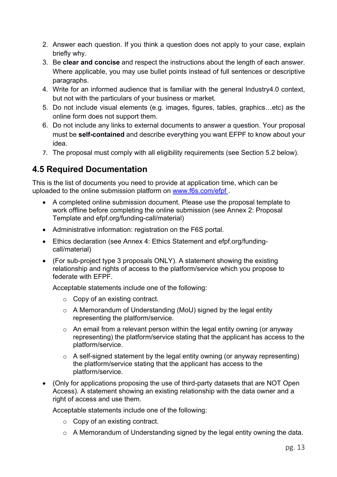- 2. Answer each question. If you think a question does not apply to your case, explain briefly why.
- 3. Be **clear and concise** and respect the instructions about the length of each answer. Where applicable, you may use bullet points instead of full sentences or descriptive paragraphs.
- 4. Write for an informed audience that is familiar with the general Industry4.0 context, but not with the particulars of your business or market.
- 5. Do not include visual elements (e.g. images, figures, tables, graphics…etc) as the online form does not support them.
- 6. Do not include any links to external documents to answer a question. Your proposal must be **self-contained** and describe everything you want EFPF to know about your idea.
- 7. The proposal must comply with all eligibility requirements (see Section 5.2 below).

### **4.5 Required Documentation**

This is the list of documents you need to provide at application time, which can be uploaded to the online submission platform on www.f6s.com/efpf .

- A completed online submission document. Please use the proposal template to work offline before completing the online submission (see Annex 2: Proposal Template and efpf.org/funding-call/material)
- Administrative information: registration on the F6S portal.
- Ethics declaration (see Annex 4: Ethics Statement and efpf.org/fundingcall/material)
- (For sub-project type 3 proposals ONLY). A statement showing the existing relationship and rights of access to the platform/service which you propose to federate with EFPF.

Acceptable statements include one of the following:

- o Copy of an existing contract.
- o A Memorandum of Understanding (MoU) signed by the legal entity representing the platform/service.
- $\circ$  An email from a relevant person within the legal entity owning (or anyway representing) the platform/service stating that the applicant has access to the platform/service.
- $\circ$  A self-signed statement by the legal entity owning (or anyway representing) the platform/service stating that the applicant has access to the platform/service.
- (Only for applications proposing the use of third-party datasets that are NOT Open Access). A statement showing an existing relationship with the data owner and a right of access and use them.

Acceptable statements include one of the following:

- o Copy of an existing contract.
- $\circ$  A Memorandum of Understanding signed by the legal entity owning the data.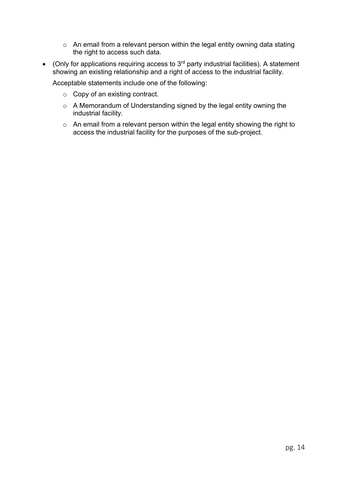- o An email from a relevant person within the legal entity owning data stating the right to access such data.
- (Only for applications requiring access to  $3<sup>rd</sup>$  party industrial facilities). A statement showing an existing relationship and a right of access to the industrial facility.

Acceptable statements include one of the following:

- o Copy of an existing contract.
- o A Memorandum of Understanding signed by the legal entity owning the industrial facility.
- o An email from a relevant person within the legal entity showing the right to access the industrial facility for the purposes of the sub-project.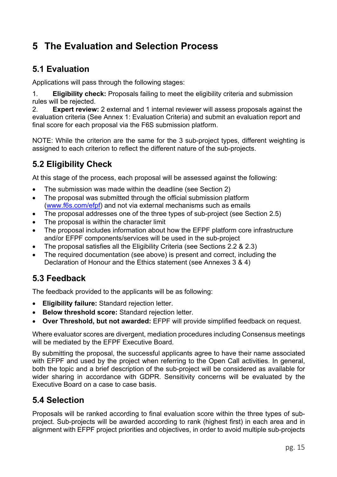# **5 The Evaluation and Selection Process**

### **5.1 Evaluation**

Applications will pass through the following stages:

1. **Eligibility check:** Proposals failing to meet the eligibility criteria and submission rules will be rejected.

2. **Expert review:** 2 external and 1 internal reviewer will assess proposals against the evaluation criteria (See Annex 1: Evaluation Criteria) and submit an evaluation report and final score for each proposal via the F6S submission platform.

NOTE: While the criterion are the same for the 3 sub-project types, different weighting is assigned to each criterion to reflect the different nature of the sub-projects.

### **5.2 Eligibility Check**

At this stage of the process, each proposal will be assessed against the following:

- The submission was made within the deadline (see Section 2)
- The proposal was submitted through the official submission platform (www.f6s.com/efpf) and not via external mechanisms such as emails
- The proposal addresses one of the three types of sub-project (see Section 2.5)
- The proposal is within the character limit
- The proposal includes information about how the EFPF platform core infrastructure and/or EFPF components/services will be used in the sub-project
- The proposal satisfies all the Eligibility Criteria (see Sections 2.2 & 2.3)
- The required documentation (see above) is present and correct, including the Declaration of Honour and the Ethics statement (see Annexes 3 & 4)

### **5.3 Feedback**

The feedback provided to the applicants will be as following:

- **Eligibility failure:** Standard rejection letter.
- **Below threshold score:** Standard rejection letter.
- **Over Threshold, but not awarded:** EFPF will provide simplified feedback on request.

Where evaluator scores are divergent, mediation procedures including Consensus meetings will be mediated by the EFPF Executive Board.

By submitting the proposal, the successful applicants agree to have their name associated with EFPF and used by the project when referring to the Open Call activities. In general, both the topic and a brief description of the sub-project will be considered as available for wider sharing in accordance with GDPR. Sensitivity concerns will be evaluated by the Executive Board on a case to case basis.

### **5.4 Selection**

Proposals will be ranked according to final evaluation score within the three types of subproject. Sub-projects will be awarded according to rank (highest first) in each area and in alignment with EFPF project priorities and objectives, in order to avoid multiple sub-projects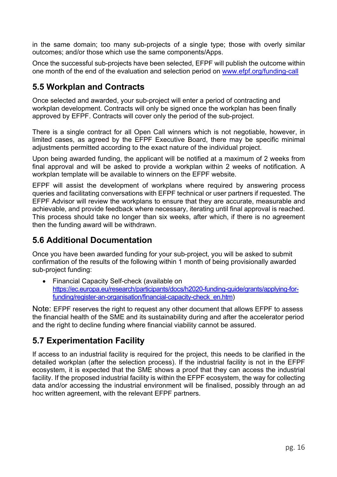in the same domain; too many sub-projects of a single type; those with overly similar outcomes; and/or those which use the same components/Apps.

Once the successful sub-projects have been selected, EFPF will publish the outcome within one month of the end of the evaluation and selection period on www.efpf.org/funding-call

### **5.5 Workplan and Contracts**

Once selected and awarded, your sub-project will enter a period of contracting and workplan development. Contracts will only be signed once the workplan has been finally approved by EFPF. Contracts will cover only the period of the sub-project.

There is a single contract for all Open Call winners which is not negotiable, however, in limited cases, as agreed by the EFPF Executive Board, there may be specific minimal adjustments permitted according to the exact nature of the individual project.

Upon being awarded funding, the applicant will be notified at a maximum of 2 weeks from final approval and will be asked to provide a workplan within 2 weeks of notification. A workplan template will be available to winners on the EFPF website.

EFPF will assist the development of workplans where required by answering process queries and facilitating conversations with EFPF technical or user partners if requested. The EFPF Advisor will review the workplans to ensure that they are accurate, measurable and achievable, and provide feedback where necessary, iterating until final approval is reached. This process should take no longer than six weeks, after which, if there is no agreement then the funding award will be withdrawn.

### **5.6 Additional Documentation**

Once you have been awarded funding for your sub-project, you will be asked to submit confirmation of the results of the following within 1 month of being provisionally awarded sub-project funding:

• Financial Capacity Self-check (available on https://ec.europa.eu/research/participants/docs/h2020-funding-guide/grants/applying-forfunding/register-an-organisation/financial-capacity-check\_en.htm)

Note: EFPF reserves the right to request any other document that allows EFPF to assess the financial health of the SME and its sustainability during and after the accelerator period and the right to decline funding where financial viability cannot be assured.

### **5.7 Experimentation Facility**

If access to an industrial facility is required for the project, this needs to be clarified in the detailed workplan (after the selection process). If the industrial facility is not in the EFPF ecosystem, it is expected that the SME shows a proof that they can access the industrial facility. If the proposed industrial facility is within the EFPF ecosystem, the way for collecting data and/or accessing the industrial environment will be finalised, possibly through an ad hoc written agreement, with the relevant EFPF partners.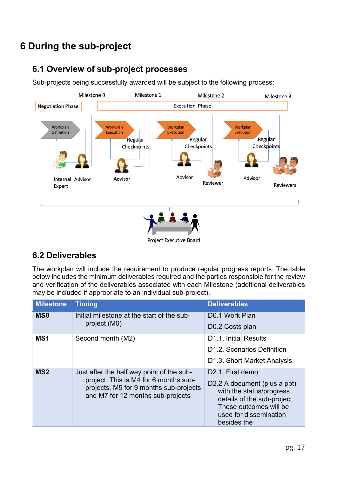# **6 During the sub-project**

### **6.1 Overview of sub-project processes**

Sub-projects being successfully awarded will be subject to the following process:



### **6.2 Deliverables**

The workplan will include the requirement to produce regular progress reports. The table below includes the minimum deliverables required and the parties responsible for the review and verification of the deliverables associated with each Milestone (additional deliverables may be included if appropriate to an individual sub-project).

| <b>Milestone</b> | <b>Timing</b>                                                                                                                                                     | <b>Deliverables</b>                                                                                                                                                                         |
|------------------|-------------------------------------------------------------------------------------------------------------------------------------------------------------------|---------------------------------------------------------------------------------------------------------------------------------------------------------------------------------------------|
| <b>MSO</b>       | Initial milestone at the start of the sub-<br>project (M0)                                                                                                        | D <sub>0.1</sub> Work Plan                                                                                                                                                                  |
|                  |                                                                                                                                                                   | D0.2 Costs plan                                                                                                                                                                             |
| MS1              | Second month (M2)                                                                                                                                                 | D1.1. Initial Results                                                                                                                                                                       |
|                  |                                                                                                                                                                   | D <sub>1.2</sub> . Scenarios Definition                                                                                                                                                     |
|                  |                                                                                                                                                                   | D1.3. Short Market Analysis                                                                                                                                                                 |
| MS <sub>2</sub>  | Just after the half way point of the sub-<br>project. This is M4 for 6 months sub-<br>projects, M5 for 9 months sub-projects<br>and M7 for 12 months sub-projects | D <sub>2.1</sub> . First demo<br>D2.2 A document (plus a ppt)<br>with the status/progress<br>details of the sub-project.<br>These outcomes will be<br>used for dissemination<br>besides the |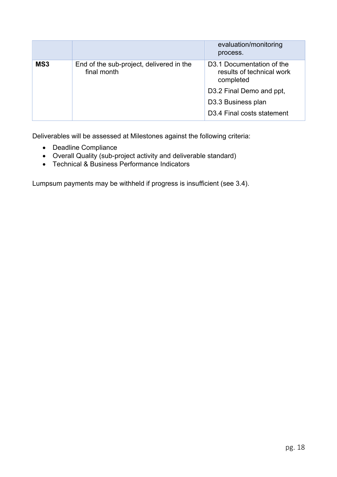|     |                                                         | evaluation/monitoring<br>process.                                                |
|-----|---------------------------------------------------------|----------------------------------------------------------------------------------|
| MS3 | End of the sub-project, delivered in the<br>final month | D <sub>3</sub> .1 Documentation of the<br>results of technical work<br>completed |
|     |                                                         | D3.2 Final Demo and ppt,                                                         |
|     |                                                         | D3.3 Business plan                                                               |
|     |                                                         | D3.4 Final costs statement                                                       |

Deliverables will be assessed at Milestones against the following criteria:

- Deadline Compliance
- Overall Quality (sub-project activity and deliverable standard)
- Technical & Business Performance Indicators

Lumpsum payments may be withheld if progress is insufficient (see 3.4).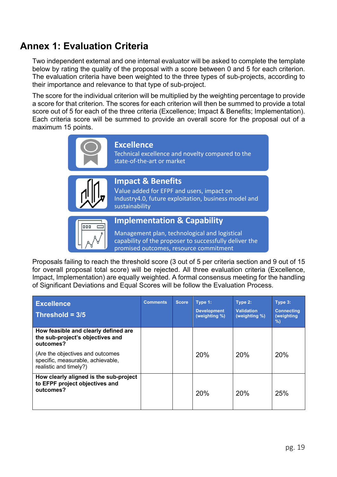### **Annex 1: Evaluation Criteria**

Two independent external and one internal evaluator will be asked to complete the template below by rating the quality of the proposal with a score between 0 and 5 for each criterion. The evaluation criteria have been weighted to the three types of sub-projects, according to their importance and relevance to that type of sub-project.

The score for the individual criterion will be multiplied by the weighting percentage to provide a score for that criterion. The scores for each criterion will then be summed to provide a total score out of 5 for each of the three criteria (Excellence; Impact & Benefits; Implementation). Each criteria score will be summed to provide an overall score for the proposal out of a maximum 15 points.

|     | <b>Excellence</b><br>Technical excellence and novelty compared to the<br>state-of-the-art or market                                                                                         |
|-----|---------------------------------------------------------------------------------------------------------------------------------------------------------------------------------------------|
|     | <b>Impact &amp; Benefits</b><br>Value added for EFPF and users, impact on<br>Industry4.0, future exploitation, business model and<br>sustainability                                         |
| 000 | <b>Implementation &amp; Capability</b><br>Management plan, technological and logistical<br>capability of the proposer to successfully deliver the<br>promised outcomes, resource commitment |

Proposals failing to reach the threshold score (3 out of 5 per criteria section and 9 out of 15 for overall proposal total score) will be rejected. All three evaluation criteria (Excellence, Impact, Implementation) are equally weighted. A formal consensus meeting for the handling of Significant Deviations and Equal Scores will be follow the Evaluation Process.

| <b>Excellence</b><br>Threshold = $3/5$                                                          | Comments | <b>Score</b> | Type 1:<br><b>Development</b><br>(weighting %) | Type 2:<br><b>Validation</b><br>(weighting %) | Type 3:<br><b>Connecting</b><br>(weighting<br>% |
|-------------------------------------------------------------------------------------------------|----------|--------------|------------------------------------------------|-----------------------------------------------|-------------------------------------------------|
| How feasible and clearly defined are<br>the sub-project's objectives and<br>outcomes?           |          |              |                                                |                                               |                                                 |
| (Are the objectives and outcomes<br>specific, measurable, achievable,<br>realistic and timely?) |          |              | 20%                                            | 20%                                           | 20%                                             |
| How clearly aligned is the sub-project<br>to EFPF project objectives and<br>outcomes?           |          |              | 20%                                            | 20%                                           | 25%                                             |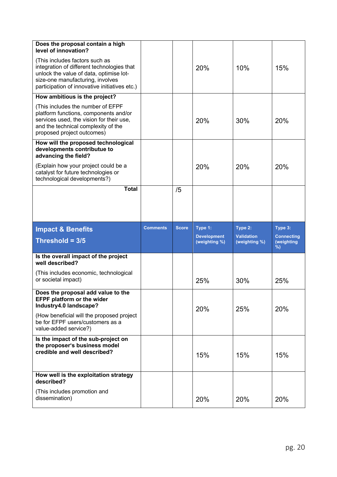| Does the proposal contain a high<br>level of innovation?                                                                                                                                                     |                 |              |                                     |                                    |                                      |
|--------------------------------------------------------------------------------------------------------------------------------------------------------------------------------------------------------------|-----------------|--------------|-------------------------------------|------------------------------------|--------------------------------------|
| (This includes factors such as<br>integration of different technologies that<br>unlock the value of data, optimise lot-<br>size-one manufacturing, involves<br>participation of innovative initiatives etc.) |                 |              | 20%                                 | 10%                                | 15%                                  |
| How ambitious is the project?                                                                                                                                                                                |                 |              |                                     |                                    |                                      |
| (This includes the number of EFPF<br>platform functions, components and/or<br>services used, the vision for their use,<br>and the technical complexity of the<br>proposed project outcomes)                  |                 |              | 20%                                 | 30%                                | 20%                                  |
| How will the proposed technological<br>developments contributue to<br>advancing the field?                                                                                                                   |                 |              |                                     |                                    |                                      |
| (Explain how your project could be a<br>catalyst for future technologies or<br>technological developments?)                                                                                                  |                 |              | 20%                                 | 20%                                | 20%                                  |
| <b>Total</b>                                                                                                                                                                                                 |                 | /5           |                                     |                                    |                                      |
|                                                                                                                                                                                                              |                 |              |                                     |                                    |                                      |
|                                                                                                                                                                                                              |                 |              |                                     |                                    |                                      |
| <b>Impact &amp; Benefits</b>                                                                                                                                                                                 | <b>Comments</b> | <b>Score</b> | Type 1:                             | Type 2:                            | Type 3:                              |
| Threshold = $3/5$                                                                                                                                                                                            |                 |              | <b>Development</b><br>(weighting %) | <b>Validation</b><br>(weighting %) | <b>Connecting</b><br>(weighting<br>% |
| Is the overall impact of the project<br>well described?                                                                                                                                                      |                 |              |                                     |                                    |                                      |
| (This includes economic, technological<br>or societal impact)                                                                                                                                                |                 |              | 25%                                 | 30%                                | 25%                                  |
| Does the proposal add value to the<br><b>EFPF platform or the wider</b>                                                                                                                                      |                 |              |                                     |                                    |                                      |
| Industry4.0 landscape?<br>(How beneficial will the proposed project<br>be for EFPF users/customers as a<br>value-added service?)                                                                             |                 |              | <b>20%</b>                          | 25%                                | 20%                                  |
| Is the impact of the sub-project on<br>the proposer's business model<br>credible and well described?                                                                                                         |                 |              | 15%                                 | 15%                                | 15%                                  |
| How well is the exploitation strategy<br>described?                                                                                                                                                          |                 |              |                                     |                                    |                                      |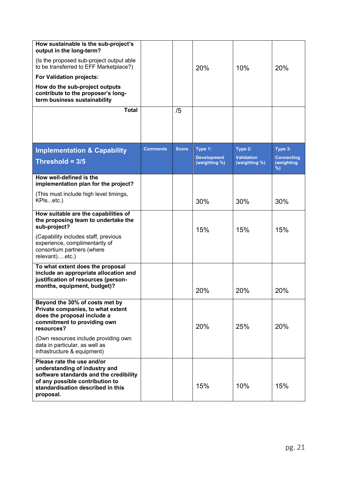| How sustainable is the sub-project's<br>output in the long-term?<br>(Is the proposed sub-project output able<br>to be transferred to EFF Marketplace?)<br><b>For Validation projects:</b><br>How do the sub-project outputs<br>contribute to the proposer's long-<br>term business sustainability<br><b>Total</b> |                 | /5           | 20%                                            | 10%                                           | 20%                                             |
|-------------------------------------------------------------------------------------------------------------------------------------------------------------------------------------------------------------------------------------------------------------------------------------------------------------------|-----------------|--------------|------------------------------------------------|-----------------------------------------------|-------------------------------------------------|
|                                                                                                                                                                                                                                                                                                                   |                 |              |                                                |                                               |                                                 |
| <b>Implementation &amp; Capability</b><br>Threshold = $3/5$                                                                                                                                                                                                                                                       | <b>Comments</b> | <b>Score</b> | Type 1:<br><b>Development</b><br>(weighting %) | Type 2:<br><b>Validation</b><br>(weighting %) | Type 3:<br><b>Connecting</b><br>(weighting<br>% |
| How well-defined is the<br>implementation plan for the project?                                                                                                                                                                                                                                                   |                 |              |                                                |                                               |                                                 |
| (This must include high level timings,<br>KPIsetc.)                                                                                                                                                                                                                                                               |                 |              | 30%                                            | 30%                                           | 30%                                             |
| How suitable are the capabilities of<br>the proposing team to undertake the<br>sub-project?<br>(Capability includes staff, previous<br>experience, complimentarity of<br>consortium partners (where                                                                                                               |                 |              | 15%                                            | 15%                                           | 15%                                             |
| relevant)etc.)<br>To what extent does the proposal                                                                                                                                                                                                                                                                |                 |              |                                                |                                               |                                                 |
| include an appropriate allocation and<br>justification of resources (person-<br>months, equipment, budget)?                                                                                                                                                                                                       |                 |              | 20%                                            | 20%                                           | 20%                                             |
| Beyond the 30% of costs met by<br>Private companies, to what extent<br>does the proposal include a<br>commitment to providing own<br>resources?<br>(Own resources include providing own                                                                                                                           |                 |              | 20%                                            | 25%                                           | 20%                                             |
| data in particular, as well as<br>infrastructure & equipment)                                                                                                                                                                                                                                                     |                 |              |                                                |                                               |                                                 |
| Please rate the use and/or<br>understanding of industry and<br>software standards and the credibility<br>of any possible contribution to<br>standardisation described in this<br>proposal.                                                                                                                        |                 |              | 15%                                            | 10%                                           | 15%                                             |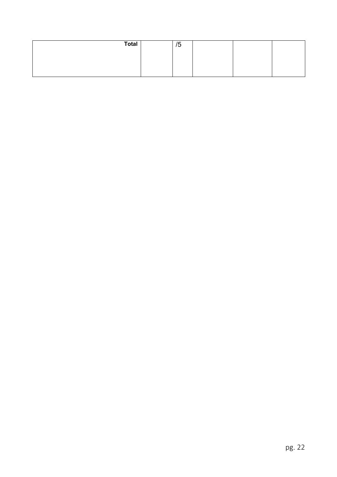| <b>Total</b> | $\overline{\phantom{0}}$<br>′ე |  |  |
|--------------|--------------------------------|--|--|
|              |                                |  |  |
|              |                                |  |  |
|              |                                |  |  |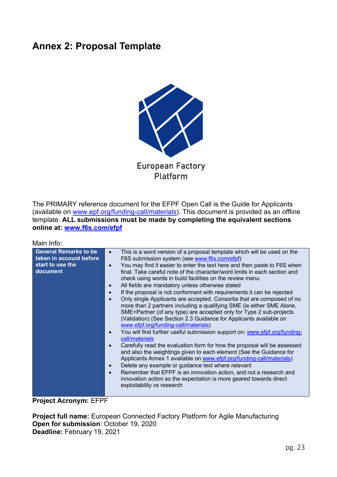### **Annex 2: Proposal Template**



Platform

The PRIMARY reference document for the EFPF Open Call is the Guide for Applicants (available on www.epf.org/funding-call/materials). This document is provided as an offline template. **ALL submissions must be made by completing the equivalent sections online at: www.f6s.com/efpf**

Main Info:

| <b>General Remarks to be</b><br>taken in account before<br>start to use the<br>document | This is a word version of a proposal template which will be used on the<br>$\bullet$<br>F6S submission system (see www.f6s.com/efpf)<br>You may find it easier to enter the text here and then paste to F6S when<br>$\bullet$<br>final. Take careful note of the character/word limits in each section and<br>check using words in build facilities on the review menu<br>All fields are mandatory unless otherwise stated<br>$\bullet$<br>If the proposal is not conformant with requirements it can be rejected<br>$\bullet$<br>Only single Applicants are accepted. Consortia that are composed of no<br>$\bullet$<br>more than 2 partners including a qualifying SME (ie either SME Alone,<br>SME+Partner (of any type) are accepted only for Type 2 sub-projects<br>(Validation) (See Section 2.3 Guidance for Applicants available on<br>www.efpf.org/funding-call/materials)<br>You will find further useful submission support on: www.efpf.org/funding-<br>call/materials<br>Carefully read the evaluation form for how the proposal will be assessed<br>and also the weightings given to each element (See the Guidance for<br>Applicants Annex 1 available on www.efpf.org/funding-call/materials)<br>Delete any example or guidance text where relevant<br>$\bullet$<br>Remember that EFPF is an innovation action, and not a research and<br>$\bullet$<br>innovation action so the expectation is more geared towards direct<br>exploitability vs research |
|-----------------------------------------------------------------------------------------|-------------------------------------------------------------------------------------------------------------------------------------------------------------------------------------------------------------------------------------------------------------------------------------------------------------------------------------------------------------------------------------------------------------------------------------------------------------------------------------------------------------------------------------------------------------------------------------------------------------------------------------------------------------------------------------------------------------------------------------------------------------------------------------------------------------------------------------------------------------------------------------------------------------------------------------------------------------------------------------------------------------------------------------------------------------------------------------------------------------------------------------------------------------------------------------------------------------------------------------------------------------------------------------------------------------------------------------------------------------------------------------------------------------------------------------------------------------------------|

#### **Project Acronym:** EFPF

**Project full name:** European Connected Factory Platform for Agile Manufacturing **Open for submission**: October 19, 2020 **Deadline:** February 19, 2021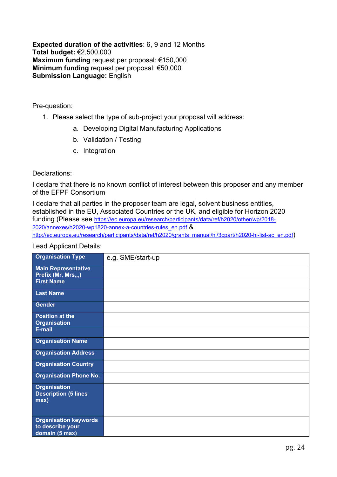**Expected duration of the activities**: 6, 9 and 12 Months **Total budget:** €2,500,000 **Maximum funding** request per proposal: €150,000 **Minimum funding** request per proposal: €50,000 **Submission Language:** English

Pre-question:

- 1. Please select the type of sub-project your proposal will address:
	- a. Developing Digital Manufacturing Applications
	- b. Validation / Testing
	- c. Integration

#### Declarations:

I declare that there is no known conflict of interest between this proposer and any member of the EFPF Consortium

I declare that all parties in the proposer team are legal, solvent business entities, established in the EU, Associated Countries or the UK, and eligible for Horizon 2020 funding (Please see https://ec.europa.eu/research/participants/data/ref/h2020/other/wp/2018- 2020/annexes/h2020-wp1820-annex-a-countries-rules\_en.pdf & http://ec.europa.eu/research/participants/data/ref/h2020/grants\_manual/hi/3cpart/h2020-hi-list-ac\_en.pdf)

Lead Applicant Details:

| <b>Organisation Type</b>                                   | e.g. SME/start-up |
|------------------------------------------------------------|-------------------|
| <b>Main Representative</b><br>Prefix (Mr, Mrs,,,)          |                   |
| <b>First Name</b>                                          |                   |
| <b>Last Name</b>                                           |                   |
| <b>Gender</b>                                              |                   |
| Position at the                                            |                   |
| <b>Organisation</b>                                        |                   |
| E-mail                                                     |                   |
| <b>Organisation Name</b>                                   |                   |
| <b>Organisation Address</b>                                |                   |
| <b>Organisation Country</b>                                |                   |
| <b>Organisation Phone No.</b>                              |                   |
| <b>Organisation</b><br><b>Description (5 lines</b><br>max) |                   |
|                                                            |                   |
| <b>Organisation keywords</b>                               |                   |
| to describe your                                           |                   |
| domain (5 max)                                             |                   |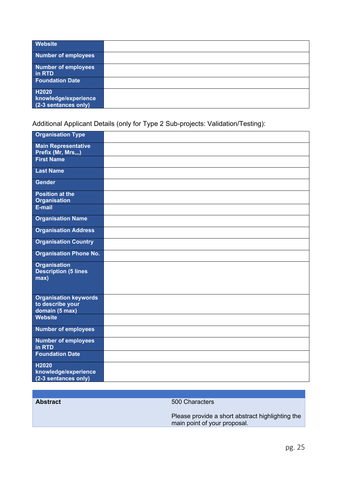| <b>Website</b>                                        |  |
|-------------------------------------------------------|--|
| <b>Number of employees</b>                            |  |
| <b>Number of employees</b><br>in RTD                  |  |
| <b>Foundation Date</b>                                |  |
| H2020<br>knowledge/experience<br>(2-3 sentances only) |  |

Additional Applicant Details (only for Type 2 Sub-projects: Validation/Testing):

| <b>Organisation Type</b>                                           |  |
|--------------------------------------------------------------------|--|
| <b>Main Representative</b><br>Prefix (Mr, Mrs,,,)                  |  |
| <b>First Name</b>                                                  |  |
| <b>Last Name</b>                                                   |  |
| <b>Gender</b>                                                      |  |
| <b>Position at the</b><br><b>Organisation</b>                      |  |
| E-mail                                                             |  |
| <b>Organisation Name</b>                                           |  |
| <b>Organisation Address</b>                                        |  |
| <b>Organisation Country</b>                                        |  |
| <b>Organisation Phone No.</b>                                      |  |
| <b>Organisation</b><br><b>Description (5 lines</b><br>max)         |  |
| <b>Organisation keywords</b><br>to describe your<br>domain (5 max) |  |
| <b>Website</b>                                                     |  |
| <b>Number of employees</b>                                         |  |
| <b>Number of employees</b><br>in RTD                               |  |
| <b>Foundation Date</b>                                             |  |
| H2020<br>knowledge/experience<br>(2-3 sentances only)              |  |

| <b>Abstract</b> |  |
|-----------------|--|
|                 |  |

**500 Characters** 

Please provide a short abstract highlighting the main point of your proposal.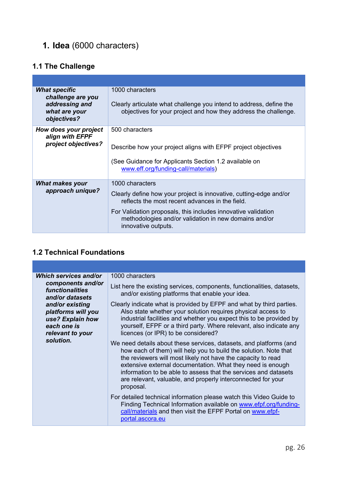# **1. Idea** (6000 characters)

### **1.1 The Challenge**

| <b>What specific</b><br>challenge are you<br>addressing and<br>what are your<br>objectives? | 1000 characters<br>Clearly articulate what challenge you intend to address, define the<br>objectives for your project and how they address the challenge.                                                                                                                                 |
|---------------------------------------------------------------------------------------------|-------------------------------------------------------------------------------------------------------------------------------------------------------------------------------------------------------------------------------------------------------------------------------------------|
| How does your project<br>align with EFPF<br>project objectives?                             | 500 characters<br>Describe how your project aligns with EFPF project objectives<br>(See Guidance for Applicants Section 1.2 available on<br>www.eff.org/funding-call/materials)                                                                                                           |
| <b>What makes your</b><br>approach unique?                                                  | 1000 characters<br>Clearly define how your project is innovative, cutting-edge and/or<br>reflects the most recent advances in the field.<br>For Validation proposals, this includes innovative validation<br>methodologies and/or validation in new domains and/or<br>innovative outputs. |

#### **1.2 Technical Foundations**

| Which services and/or<br>components and/or<br><i><b>functionalities</b></i><br>and/or datasets<br>and/or existing<br>platforms will you<br>use? Explain how<br>each one is<br>relevant to your<br>solution. | 1000 characters                                                                                                                                                                                                                                                                                                                                                                                                      |
|-------------------------------------------------------------------------------------------------------------------------------------------------------------------------------------------------------------|----------------------------------------------------------------------------------------------------------------------------------------------------------------------------------------------------------------------------------------------------------------------------------------------------------------------------------------------------------------------------------------------------------------------|
|                                                                                                                                                                                                             | List here the existing services, components, functionalities, datasets,<br>and/or existing platforms that enable your idea.                                                                                                                                                                                                                                                                                          |
|                                                                                                                                                                                                             | Clearly indicate what is provided by EFPF and what by third parties.<br>Also state whether your solution requires physical access to<br>industrial facilities and whether you expect this to be provided by<br>yourself, EFPF or a third party. Where relevant, also indicate any<br>licences (or IPR) to be considered?                                                                                             |
|                                                                                                                                                                                                             | We need details about these services, datasets, and platforms (and<br>how each of them) will help you to build the solution. Note that<br>the reviewers will most likely not have the capacity to read<br>extensive external documentation. What they need is enough<br>information to be able to assess that the services and datasets<br>are relevant, valuable, and properly interconnected for your<br>proposal. |
|                                                                                                                                                                                                             | For detailed technical information please watch this Video Guide to<br>Finding Technical Information available on www.efpf.org/funding-<br>call/materials and then visit the EFPF Portal on www.efpf-<br>portal.ascora.eu                                                                                                                                                                                            |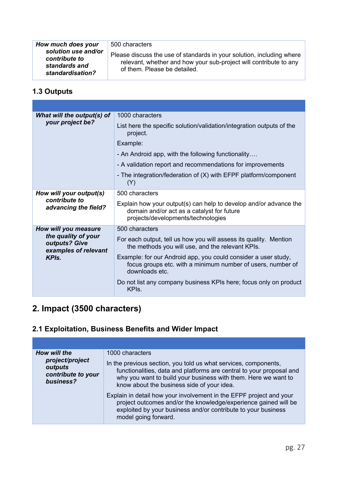| How much does your                                                        | 500 characters                                                                                                                                                             |
|---------------------------------------------------------------------------|----------------------------------------------------------------------------------------------------------------------------------------------------------------------------|
| solution use and/or<br>contribute to<br>standards and<br>standardisation? | Please discuss the use of standards in your solution, including where<br>relevant, whether and how your sub-project will contribute to any<br>of them. Please be detailed. |

### **1.3 Outputs**

| What will the output(s) of                                       | 1000 characters                                                                                                                                       |
|------------------------------------------------------------------|-------------------------------------------------------------------------------------------------------------------------------------------------------|
| your project be?                                                 | List here the specific solution/validation/integration outputs of the<br>project.                                                                     |
|                                                                  | Example:                                                                                                                                              |
|                                                                  | - An Android app, with the following functionality                                                                                                    |
|                                                                  | - A validation report and recommendations for improvements                                                                                            |
|                                                                  | - The integration/federation of (X) with EFPF platform/component<br>(Y)                                                                               |
| How will your output(s)<br>contribute to<br>advancing the field? | 500 characters                                                                                                                                        |
|                                                                  | Explain how your output(s) can help to develop and/or advance the<br>domain and/or act as a catalyst for future<br>projects/developments/technologies |
| How will you measure                                             | 500 characters                                                                                                                                        |
| the quality of your<br>outputs? Give<br>examples of relevant     | For each output, tell us how you will assess its quality. Mention<br>the methods you will use, and the relevant KPIs.                                 |
| <b>KPIS</b>                                                      | Example: for our Android app, you could consider a user study,<br>focus groups etc. with a minimum number of users, number of<br>downloads etc.       |
|                                                                  | Do not list any company business KPIs here; focus only on product<br>KPI <sub>s</sub> .                                                               |

### **2. Impact (3500 characters)**

### **2.1 Exploitation, Business Benefits and Wider Impact**

| How will the<br>project/project<br>outputs<br>contribute to your<br>business? | 1000 characters<br>In the previous section, you told us what services, components,<br>functionalities, data and platforms are central to your proposal and<br>why you want to build your business with them. Here we want to<br>know about the business side of your idea. |
|-------------------------------------------------------------------------------|----------------------------------------------------------------------------------------------------------------------------------------------------------------------------------------------------------------------------------------------------------------------------|
|                                                                               | Explain in detail how your involvement in the EFPF project and your<br>project outcomes and/or the knowledge/experience gained will be<br>exploited by your business and/or contribute to your business<br>model going forward.                                            |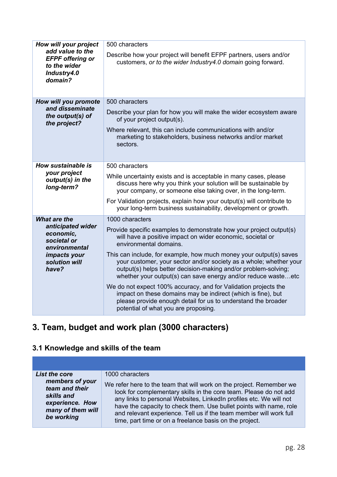| How will your project<br>add value to the<br><b>EFPF</b> offering or<br>to the wider<br>Industry4.0<br>domain? | 500 characters                                                                                                                                                                                                                                                              |
|----------------------------------------------------------------------------------------------------------------|-----------------------------------------------------------------------------------------------------------------------------------------------------------------------------------------------------------------------------------------------------------------------------|
|                                                                                                                | Describe how your project will benefit EFPF partners, users and/or<br>customers, or to the wider Industry4.0 domain going forward.                                                                                                                                          |
| How will you promote                                                                                           | 500 characters                                                                                                                                                                                                                                                              |
| and disseminate<br>the output(s) of<br>the project?                                                            | Describe your plan for how you will make the wider ecosystem aware<br>of your project output(s).                                                                                                                                                                            |
|                                                                                                                | Where relevant, this can include communications with and/or<br>marketing to stakeholders, business networks and/or market<br>sectors.                                                                                                                                       |
| How sustainable is                                                                                             | 500 characters                                                                                                                                                                                                                                                              |
| your project<br>output(s) in the<br>long-term?                                                                 | While uncertainty exists and is acceptable in many cases, please<br>discuss here why you think your solution will be sustainable by<br>your company, or someone else taking over, in the long-term.                                                                         |
|                                                                                                                | For Validation projects, explain how your output(s) will contribute to<br>your long-term business sustainability, development or growth.                                                                                                                                    |
| <b>What are the</b>                                                                                            | 1000 characters                                                                                                                                                                                                                                                             |
| anticipated wider<br>economic,<br>societal or<br>environmental<br>impacts your<br>solution will<br>have?       | Provide specific examples to demonstrate how your project output(s)<br>will have a positive impact on wider economic, societal or<br>environmental domains.                                                                                                                 |
|                                                                                                                | This can include, for example, how much money your output(s) saves<br>your customer, your sector and/or society as a whole; whether your<br>output(s) helps better decision-making and/or problem-solving;<br>whether your output(s) can save energy and/or reduce wasteetc |
|                                                                                                                | We do not expect 100% accuracy, and for Validation projects the<br>impact on these domains may be indirect (which is fine), but<br>please provide enough detail for us to understand the broader<br>potential of what you are proposing.                                    |

# **3. Team, budget and work plan (3000 characters)**

### **3.1 Knowledge and skills of the team**

| <b>List the core</b> | 1000 characters                                                      |
|----------------------|----------------------------------------------------------------------|
| members of your      | We refer here to the team that will work on the project. Remember we |
| team and their       | look for complementary skills in the core team. Please do not add    |
| skills and           | any links to personal Websites, LinkedIn profiles etc. We will not   |
| experience. How      | have the capacity to check them. Use bullet points with name, role   |
| many of them will    | and relevant experience. Tell us if the team member will work full   |
| be working           | time, part time or on a freelance basis on the project.              |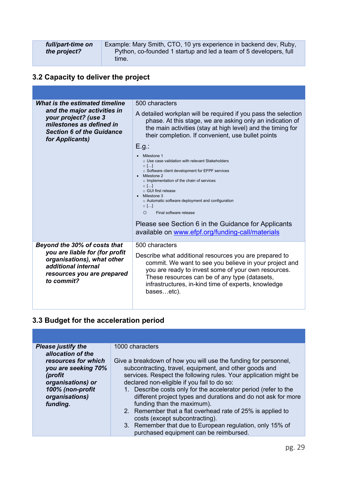| full/part-time on | Example: Mary Smith, CTO, 10 yrs experience in backend dev, Ruby, |  |
|-------------------|-------------------------------------------------------------------|--|
| the project?      | Python, co-founded 1 startup and led a team of 5 developers, full |  |
|                   | time.                                                             |  |

### **3.2 Capacity to deliver the project**

| What is the estimated timeline                                                                                                         | 500 characters                                                                                                                                                                                                                                                                                                                                                                                                                                                             |
|----------------------------------------------------------------------------------------------------------------------------------------|----------------------------------------------------------------------------------------------------------------------------------------------------------------------------------------------------------------------------------------------------------------------------------------------------------------------------------------------------------------------------------------------------------------------------------------------------------------------------|
| and the major activities in<br>your project? (use 3<br>milestones as defined in<br><b>Section 6 of the Guidance</b><br>for Applicants) | A detailed workplan will be required if you pass the selection<br>phase. At this stage, we are asking only an indication of<br>the main activities (stay at high level) and the timing for<br>their completion. If convenient, use bullet points                                                                                                                                                                                                                           |
|                                                                                                                                        | E.g.:                                                                                                                                                                                                                                                                                                                                                                                                                                                                      |
|                                                                                                                                        | Milestone 1<br>$\circ$ Use case validation with relevant Stakeholders<br>$\circ$ []<br>o Software client development for EFPF services<br>Milestone 2<br>o Implementation of the chain of services<br>$\circ$ []<br>○ GUI first release<br>Milestone 3<br>o Automatic software deployment and configuration<br>$\circ$ []<br>$\Omega$<br>Final software release<br>Please see Section 6 in the Guidance for Applicants<br>available on www.efpf.org/funding-call/materials |
| Beyond the 30% of costs that                                                                                                           | 500 characters                                                                                                                                                                                                                                                                                                                                                                                                                                                             |
| you are liable for (for profit<br>organisations), what other<br>additional internal<br>resources you are prepared<br>to commit?        | Describe what additional resources you are prepared to<br>commit. We want to see you believe in your project and<br>you are ready to invest some of your own resources.<br>These resources can be of any type (datasets,<br>infrastructures, in-kind time of experts, knowledge<br>basesetc).                                                                                                                                                                              |
|                                                                                                                                        |                                                                                                                                                                                                                                                                                                                                                                                                                                                                            |

### **3.3 Budget for the acceleration period**

| <b>Please justify the</b><br>1000 characters<br>allocation of the<br>resources for which<br>Give a breakdown of how you will use the funding for personnel,<br>subcontracting, travel, equipment, and other goods and<br>you are seeking 70%<br>services. Respect the following rules. Your application might be<br>(profit<br>declared non-eligible if you fail to do so:<br>organisations) or<br>100% (non-profit<br>1. Describe costs only for the accelerator period (refer to the<br>different project types and durations and do not ask for more<br>organisations)<br>funding than the maximum).<br>funding.<br>2. Remember that a flat overhead rate of 25% is applied to<br>costs (except subcontracting).<br>3. Remember that due to European regulation, only 15% of |  |
|---------------------------------------------------------------------------------------------------------------------------------------------------------------------------------------------------------------------------------------------------------------------------------------------------------------------------------------------------------------------------------------------------------------------------------------------------------------------------------------------------------------------------------------------------------------------------------------------------------------------------------------------------------------------------------------------------------------------------------------------------------------------------------|--|
|                                                                                                                                                                                                                                                                                                                                                                                                                                                                                                                                                                                                                                                                                                                                                                                 |  |
| purchased equipment can be reimbursed.                                                                                                                                                                                                                                                                                                                                                                                                                                                                                                                                                                                                                                                                                                                                          |  |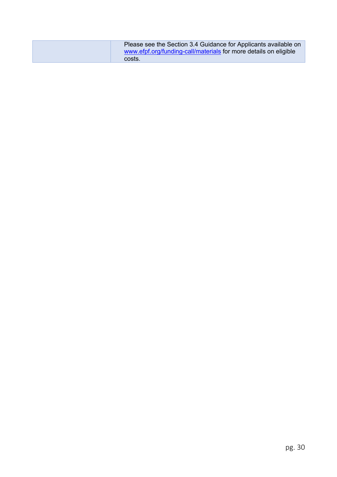| Please see the Section 3.4 Guidance for Applicants available on<br>www.efpf.org/funding-call/materials for more details on eligible |
|-------------------------------------------------------------------------------------------------------------------------------------|
| costs.                                                                                                                              |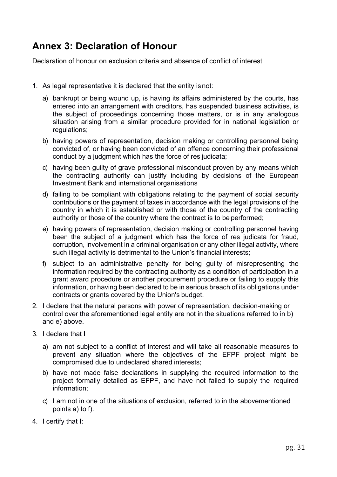# **Annex 3: Declaration of Honour**

Declaration of honour on exclusion criteria and absence of conflict of interest

- 1. As legal representative it is declared that the entity isnot:
	- a) bankrupt or being wound up, is having its affairs administered by the courts, has entered into an arrangement with creditors, has suspended business activities, is the subject of proceedings concerning those matters, or is in any analogous situation arising from a similar procedure provided for in national legislation or regulations;
	- b) having powers of representation, decision making or controlling personnel being convicted of, or having been convicted of an offence concerning their professional conduct by a judgment which has the force of res judicata;
	- c) having been guilty of grave professional misconduct proven by any means which the contracting authority can justify including by decisions of the European Investment Bank and international organisations
	- d) failing to be compliant with obligations relating to the payment of social security contributions or the payment of taxes in accordance with the legal provisions of the country in which it is established or with those of the country of the contracting authority or those of the country where the contract is to be performed;
	- e) having powers of representation, decision making or controlling personnel having been the subject of a judgment which has the force of res judicata for fraud, corruption, involvement in a criminal organisation or any other illegal activity, where such illegal activity is detrimental to the Union's financial interests;
	- f) subject to an administrative penalty for being guilty of misrepresenting the information required by the contracting authority as a condition of participation in a grant award procedure or another procurement procedure or failing to supply this information, or having been declared to be in serious breach of its obligations under contracts or grants covered by the Union's budget.
- 2. I declare that the natural persons with power of representation, decision-making or control over the aforementioned legal entity are not in the situations referred to in b) and e) above.
- 3. I declare that I
	- a) am not subject to a conflict of interest and will take all reasonable measures to prevent any situation where the objectives of the EFPF project might be compromised due to undeclared shared interests;
	- b) have not made false declarations in supplying the required information to the project formally detailed as EFPF, and have not failed to supply the required information;
	- c) I am not in one of the situations of exclusion, referred to in the abovementioned points a) to f).
- 4. I certify that I: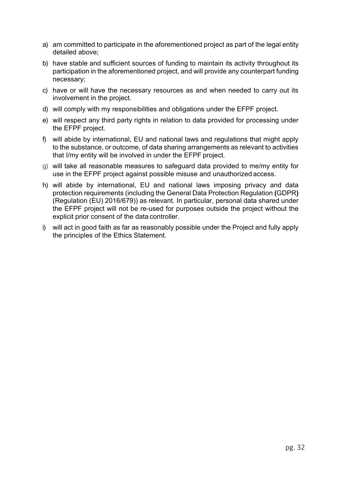- a) am committed to participate in the aforementioned project as part of the legal entity detailed above;
- b) have stable and sufficient sources of funding to maintain its activity throughout its participation in the aforementioned project, and will provide any counterpart funding necessary;
- c) have or will have the necessary resources as and when needed to carry out its involvement in the project.
- d) will comply with my responsibilities and obligations under the EFPF project.
- e) will respect any third party rights in relation to data provided for processing under the EFPF project.
- f) will abide by international, EU and national laws and regulations that might apply to the substance, or outcome, of data sharing arrangements as relevant to activities that I/my entity will be involved in under the EFPF project.
- g) will take all reasonable measures to safeguard data provided to me/my entity for use in the EFPF project against possible misuse and unauthorized access.
- h) will abide by international, EU and national laws imposing privacy and data protection requirements (including the General Data Protection Regulation **(**GDPR**)**  (Regulation (EU) 2016/679)) as relevant. In particular, personal data shared under the EFPF project will not be re-used for purposes outside the project without the explicit prior consent of the data controller.
- i) will act in good faith as far as reasonably possible under the Project and fully apply the principles of the Ethics Statement.